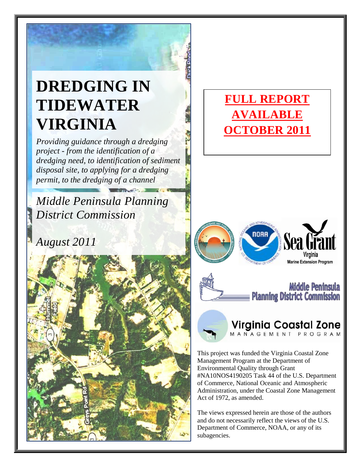## **DREDGING IN TIDEWATER VIRGINIA**

*Providing guidance through a dredging project - from the identification of a dredging need, to identification of sediment disposal site, to applying for a dredging permit, to the dredging of a channel*

*Middle Peninsula Planning District Commission*

*August 2011*



### **FULL REPORT AVAILABLE OCTOBER 2011**





# **Virginia Coastal Zone**

This project was funded the Virginia Coastal Zone Management Program at the Department of Environmental Quality through Grant #NA10NOS4190205 Task 44 of the U.S. Department of Commerce, National Oceanic and Atmospheric Administration, under the Coastal Zone Management Act of 1972, as amended.

The views expressed herein are those of the authors and do not necessarily reflect the views of the U.S. Department of Commerce, NOAA, or any of its subagencies.